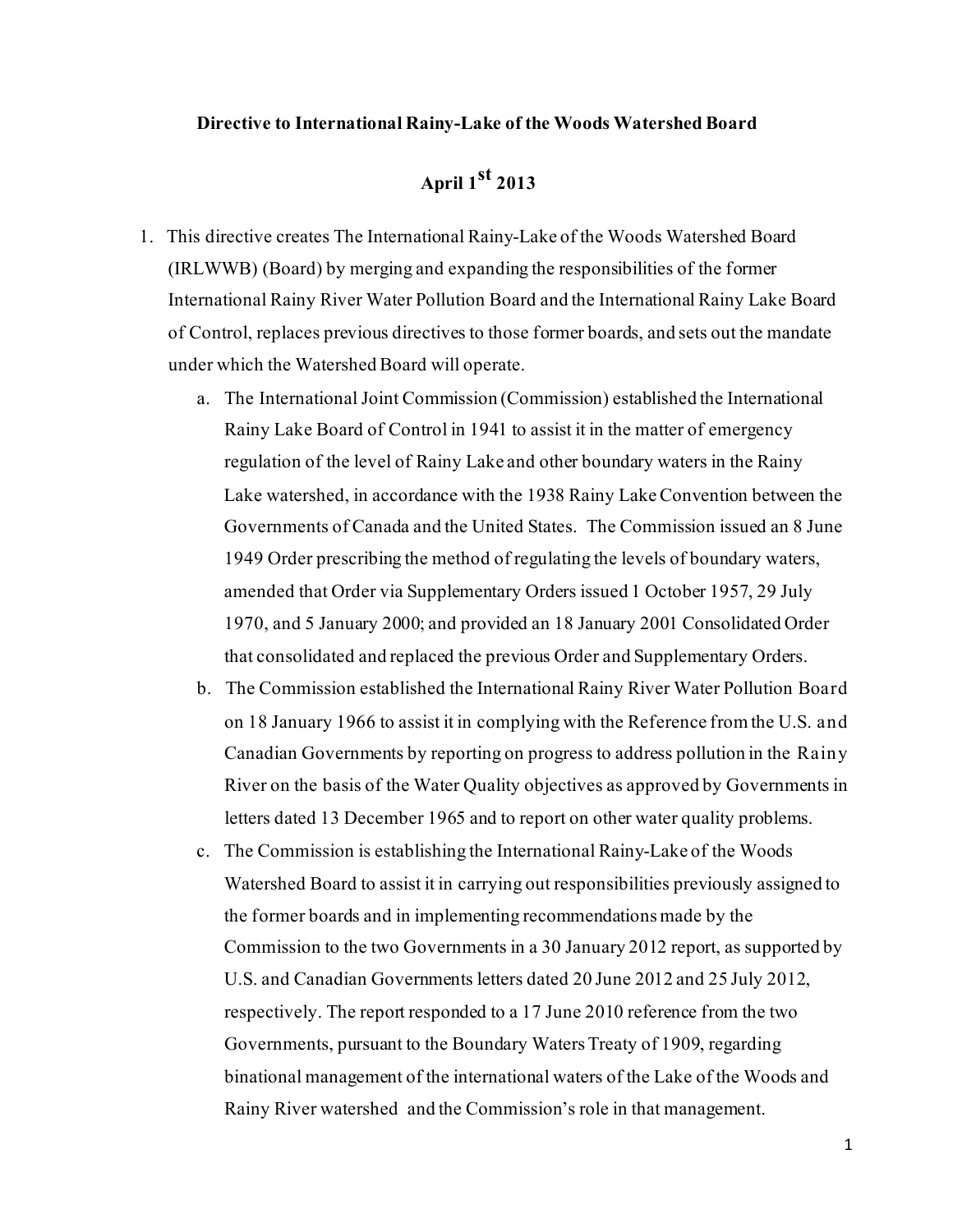## **Directive to International Rainy-Lake of the Woods Watershed Board**

## **April 1st <sup>2013</sup>**

- 1. This directive creates The International Rainy-Lake of the Woods Watershed Board (IRLWWB) (Board) by merging and expanding the responsibilities of the former International Rainy River Water Pollution Board and the International Rainy Lake Board of Control, replaces previous directives to those former boards, and sets out the mandate under which the Watershed Board will operate.
	- a. The International Joint Commission (Commission) established the International Rainy Lake Board of Control in 1941 to assist it in the matter of emergency regulation of the level of Rainy Lake and other boundary waters in the Rainy Lake watershed, in accordance with the 1938 Rainy LakeConvention between the Governments of Canada and the United States. The Commission issued an 8 June 1949 Order prescribing the method of regulating the levels of boundary waters, amended that Order via Supplementary Orders issued 1 October 1957, 29 July 1970, and 5 January 2000; and provided an 18 January 2001 Consolidated Order that consolidated and replaced the previous Order and Supplementary Orders.
	- b. The Commission established the International Rainy River Water Pollution Board on 18 January 1966 to assist it in complying with the Reference from the U.S. and Canadian Governments by reporting on progress to address pollution in the Rainy River on the basis of the Water Quality objectives as approved by Governments in letters dated 13 December 1965 and to report on other water quality problems.
	- c. The Commission is establishing the International Rainy-Lake of the Woods Watershed Board to assist it in carrying out responsibilities previously assigned to the former boards and in implementing recommendations made by the Commission to the two Governments in a 30 January 2012 report, as supported by U.S. and Canadian Governments letters dated 20 June 2012 and 25 July 2012, respectively. The report responded to a 17 June 2010 reference from the two Governments, pursuant to the Boundary Waters Treaty of 1909, regarding binational management of the international waters of the Lake of the Woods and Rainy River watershed and the Commission's role in that management.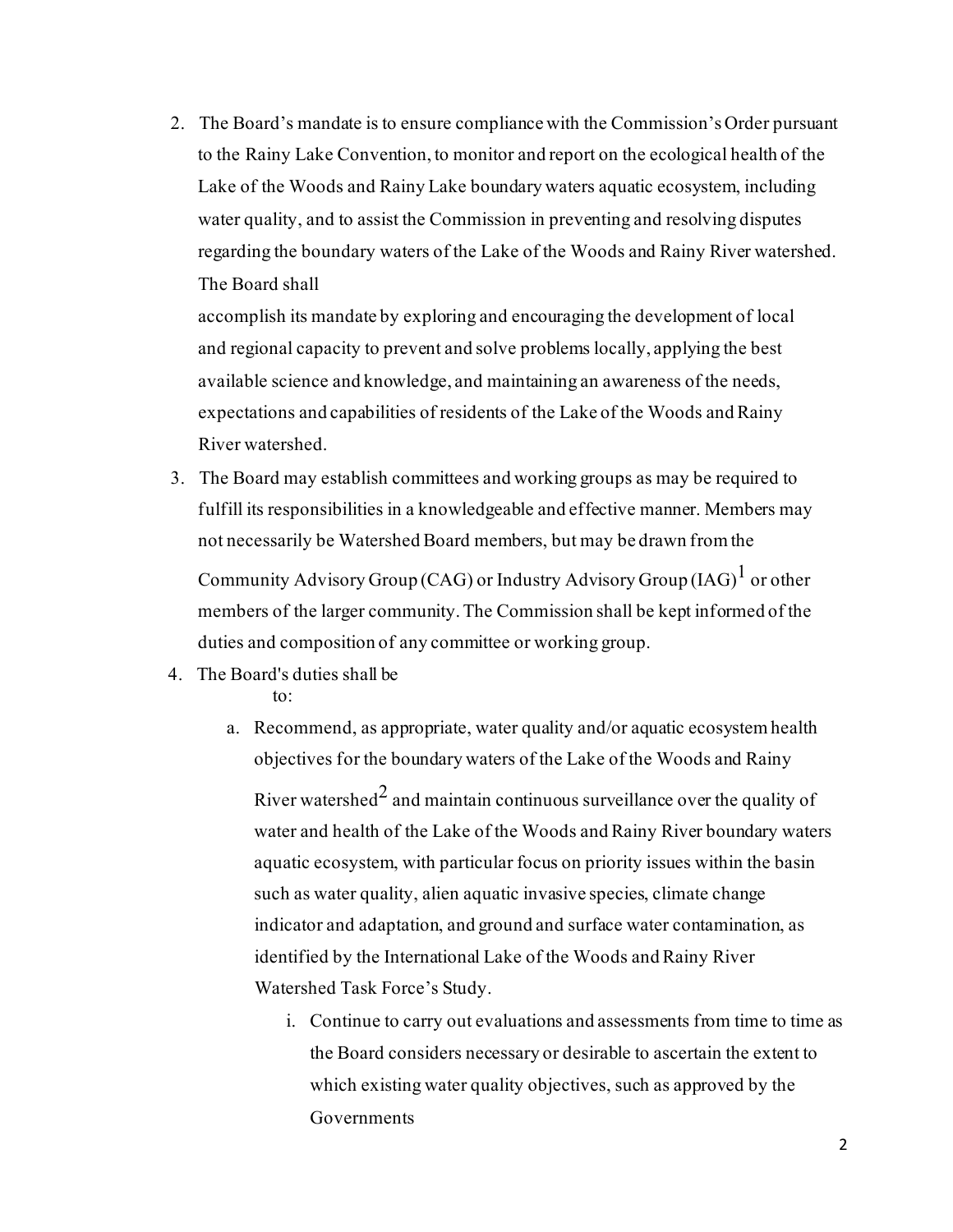2. The Board's mandate is to ensure compliance with the Commission's Order pursuant to the Rainy Lake Convention, to monitor and report on the ecological health of the Lake of the Woods and Rainy Lake boundary waters aquatic ecosystem, including water quality, and to assist the Commission in preventing and resolving disputes regarding the boundary waters of the Lake of the Woods and Rainy River watershed. The Board shall

accomplish its mandate by exploring and encouraging the development of local and regional capacity to prevent and solve problems locally, applying the best available science and knowledge, and maintaining an awareness of the needs, expectations and capabilities of residents of the Lake of the Woods and Rainy River watershed.

3. The Board may establish committees and working groups as may be required to fulfill its responsibilities in a knowledgeable and effective manner. Members may not necessarily be Watershed Board members, but may be drawn from the

Community Advisory Group (CAG) or Industry Advisory Group (IAG) $^{\rm l}$  or other members of the larger community. The Commission shall be kept informed of the duties and composition of any committee or working group.

4. The Board's duties shall be

to:

- a. Recommend, as appropriate, water quality and/or aquatic ecosystemhealth objectives for the boundary waters of the Lake of the Woods and Rainy River watershed $^2$  and maintain continuous surveillance over the quality of water and health of the Lake of the Woods and Rainy River boundary waters aquatic ecosystem, with particular focus on priority issues within the basin such as water quality, alien aquatic invasive species, climate change indicator and adaptation, and ground and surface water contamination, as identified by the International Lake of the Woods and Rainy River Watershed Task Force's Study.
	- i. Continue to carry out evaluations and assessments from time to time as the Board considers necessary or desirable to ascertain the extent to which existing water quality objectives, such as approved by the **Governments**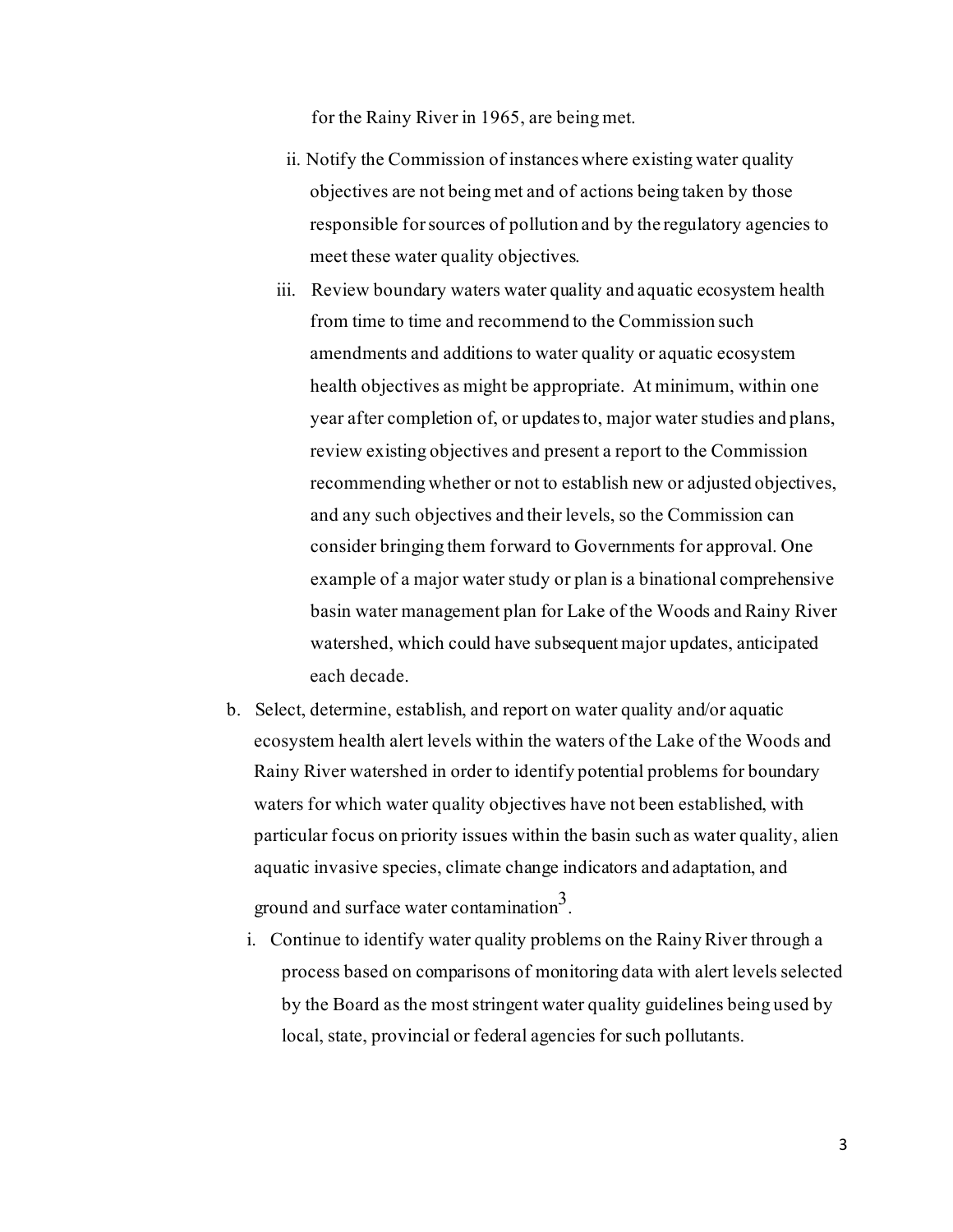for the Rainy River in 1965, are being met.

- ii. Notify the Commission of instances where existing water quality objectives are not being met and of actions being taken by those responsible forsources of pollution and by the regulatory agencies to meet these water quality objectives.
- iii. Review boundary waters water quality and aquatic ecosystem health from time to time and recommend to the Commission such amendments and additions to water quality or aquatic ecosystem health objectives as might be appropriate. At minimum, within one year after completion of, or updates to, major water studies and plans, review existing objectives and present a report to the Commission recommending whether or not to establish new or adjusted objectives, and any such objectives and their levels, so the Commission can consider bringing them forward to Governments for approval. One example of a major water study or plan is a binational comprehensive basin water management plan for Lake of the Woods and Rainy River watershed, which could have subsequent major updates, anticipated each decade.
- b. Select, determine, establish, and report on water quality and/or aquatic ecosystem health alert levels within the waters of the Lake of the Woods and Rainy River watershed in order to identify potential problems for boundary waters for which water quality objectives have not been established, with particular focus on priority issues within the basin such as water quality, alien aquatic invasive species, climate change indicators and adaptation, and ground and surface water contamination<sup>3</sup>.
	- i. Continue to identify water quality problems on the Rainy River through a process based on comparisons of monitoring data with alert levels selected by the Board as the most stringent water quality guidelines being used by local, state, provincial or federal agencies for such pollutants.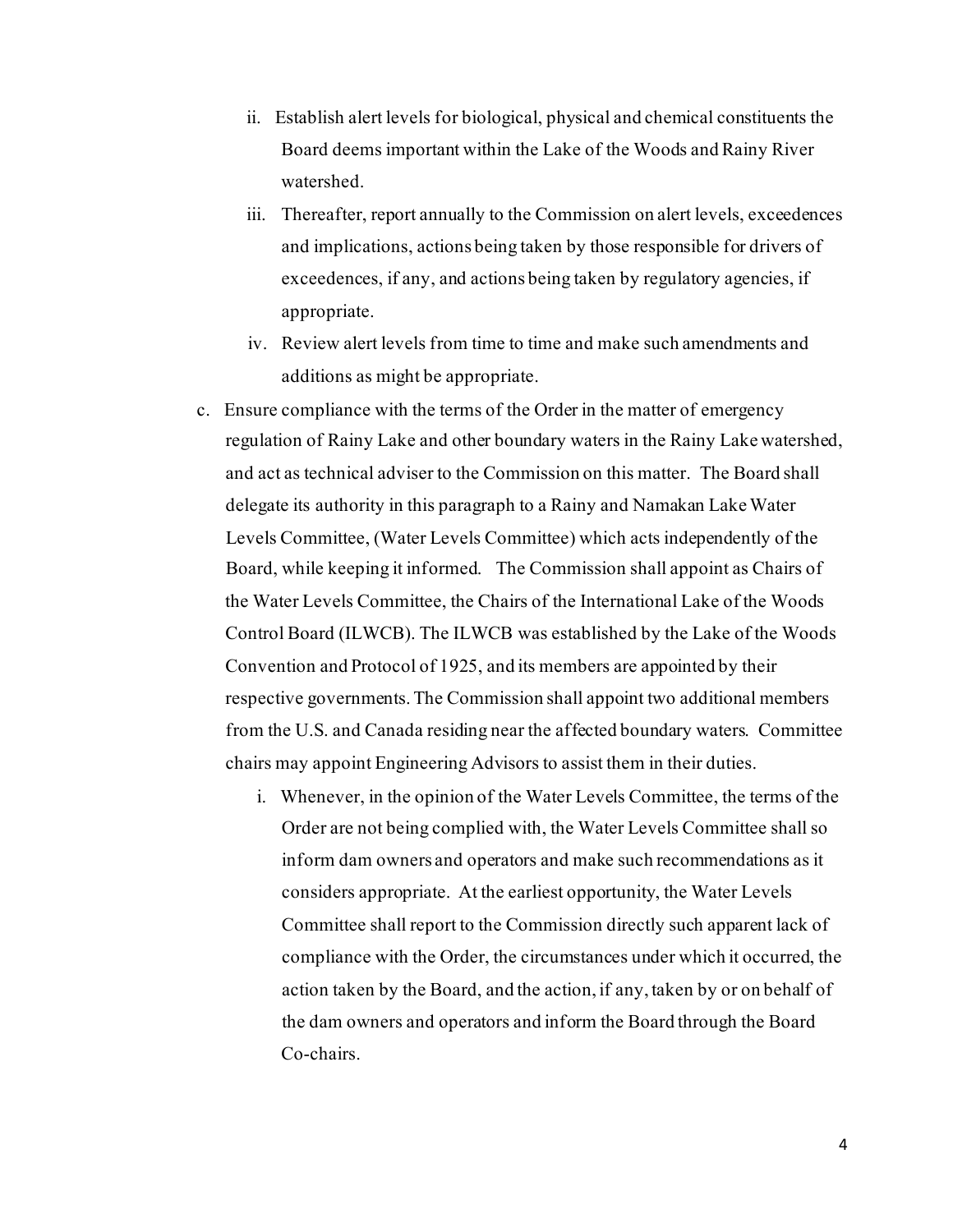- ii. Establish alert levels for biological, physical and chemical constituents the Board deems important within the Lake of the Woods and Rainy River watershed.
- iii. Thereafter, report annually to the Commission on alert levels, exceedences and implications, actions being taken by those responsible for drivers of exceedences, if any, and actions being taken by regulatory agencies, if appropriate.
- iv. Review alert levels from time to time and make such amendments and additions as might be appropriate.
- c. Ensure compliance with the terms of the Order in the matter of emergency regulation of Rainy Lake and other boundary waters in the Rainy Lake watershed, and act as technical adviser to the Commission on this matter. The Board shall delegate its authority in this paragraph to a Rainy and Namakan Lake Water Levels Committee, (Water Levels Committee) which acts independently of the Board, while keeping it informed. The Commission shall appoint as Chairs of the Water Levels Committee, the Chairs of the International Lake of the Woods Control Board (ILWCB). The ILWCB was established by the Lake of the Woods Convention and Protocol of 1925, and its members are appointed by their respective governments.The Commission shall appoint two additional members from the U.S. and Canada residing near the affected boundary waters. Committee chairs may appoint Engineering Advisors to assist them in their duties.
	- i. Whenever, in the opinion of the Water Levels Committee, the terms of the Order are not being complied with, the Water Levels Committee shall so inform dam owners and operators and make such recommendations as it considers appropriate. At the earliest opportunity, the Water Levels Committee shall report to the Commission directly such apparent lack of compliance with the Order, the circumstances under which it occurred, the action taken by the Board, and the action, if any, taken by or on behalf of the dam owners and operators and inform the Board through the Board Co-chairs.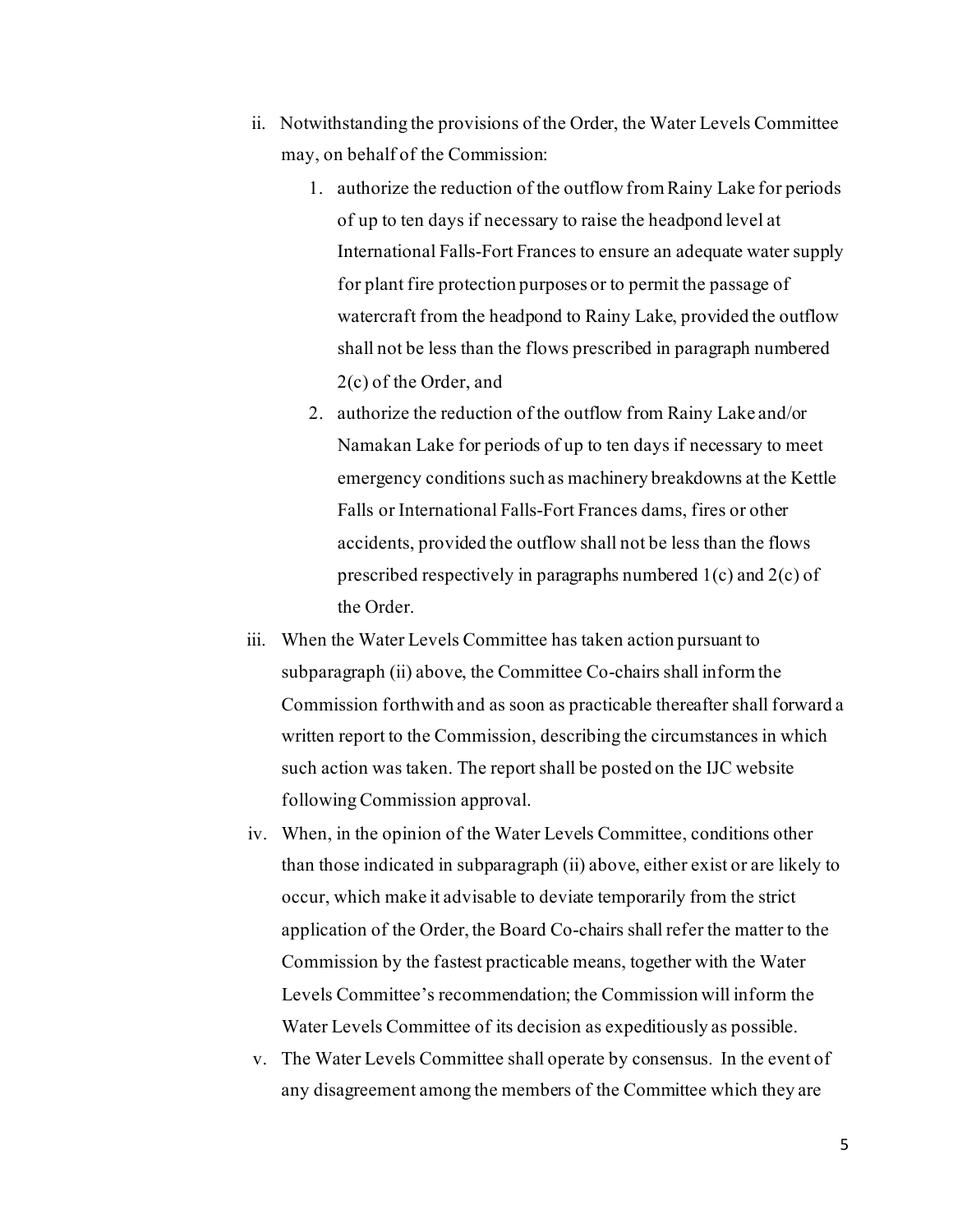- ii. Notwithstanding the provisions of the Order, the Water Levels Committee may, on behalf of the Commission:
	- 1. authorize the reduction of the outflow from Rainy Lake for periods of up to ten days if necessary to raise the headpond level at International Falls-Fort Frances to ensure an adequate water supply for plant fire protection purposes or to permit the passage of watercraft from the headpond to Rainy Lake, provided the outflow shall not be less than the flows prescribed in paragraph numbered 2(c) of the Order, and
	- 2. authorize the reduction of the outflow from Rainy Lake and/or Namakan Lake for periods of up to ten days if necessary to meet emergency conditions such as machinery breakdowns at the Kettle Falls or International Falls-Fort Frances dams, fires or other accidents, provided the outflow shall not be less than the flows prescribed respectively in paragraphs numbered 1(c) and 2(c) of the Order.
- iii. When the Water Levels Committee has taken action pursuant to subparagraph (ii) above, the Committee Co-chairs shall inform the Commission forthwith and as soon as practicable thereafter shall forward a written report to the Commission, describing the circumstances in which such action was taken. The report shall be posted on the IJC website followingCommission approval.
- iv. When, in the opinion of the Water Levels Committee, conditions other than those indicated in subparagraph (ii) above, either exist or are likely to occur, which make it advisable to deviate temporarily from the strict application of the Order, the Board Co-chairs shall refer the matter to the Commission by the fastest practicable means, together with the Water Levels Committee's recommendation; the Commission will inform the Water Levels Committee of its decision as expeditiously as possible.
- v. The Water Levels Committee shall operate by consensus. In the event of any disagreement among the members of the Committee which they are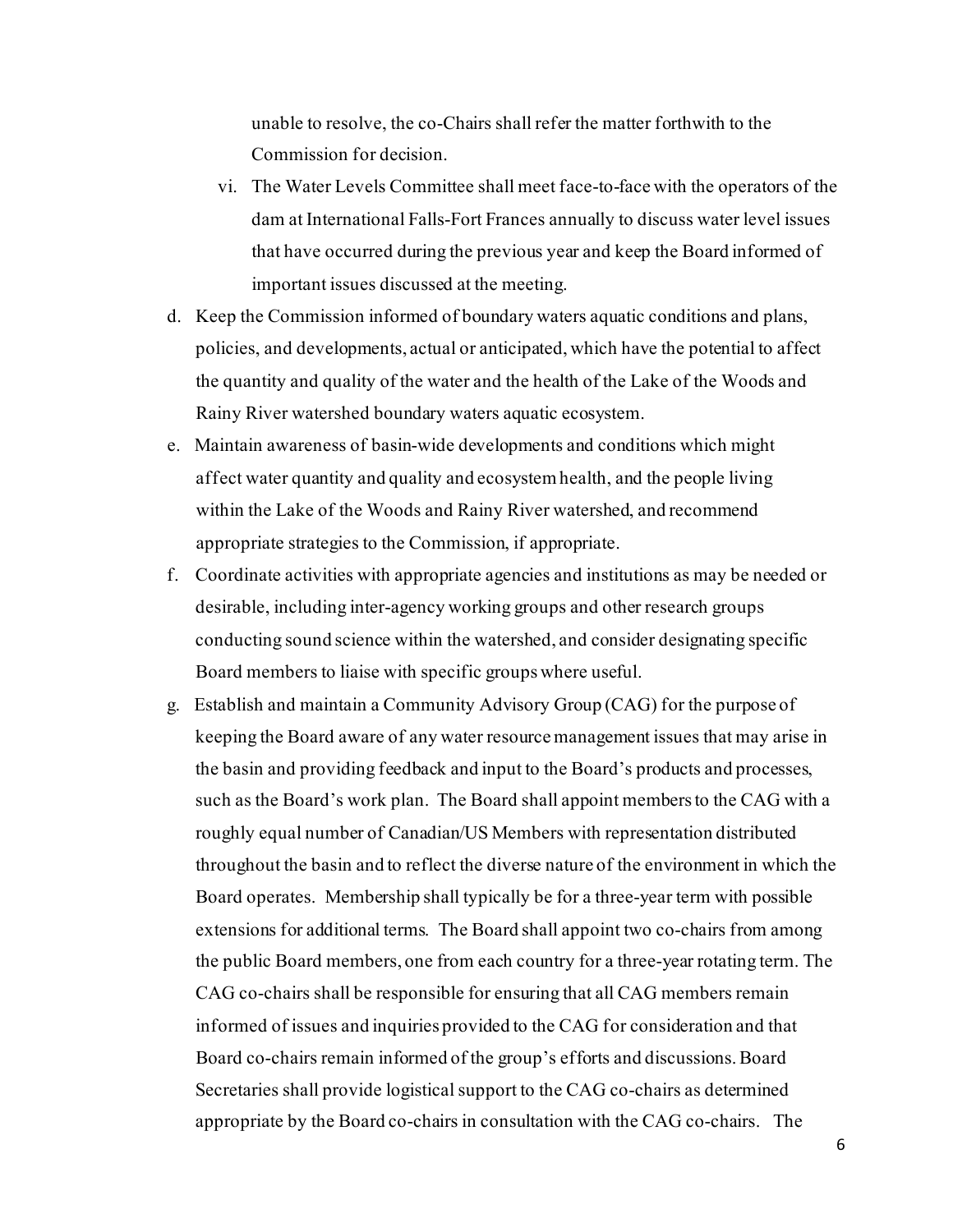unable to resolve, the co-Chairs shall refer the matter forthwith to the Commission for decision.

- vi. The Water Levels Committee shall meet face-to-face with the operators of the dam at International Falls-Fort Frances annually to discuss water level issues that have occurred during the previous year and keep the Board informed of important issues discussed at the meeting.
- d. Keep the Commission informed of boundary waters aquatic conditions and plans, policies, and developments, actual or anticipated, which have the potential to affect the quantity and quality of the water and the health of the Lake of the Woods and Rainy River watershed boundary waters aquatic ecosystem.
- e. Maintain awareness of basin-wide developments and conditions which might affect water quantity and quality and ecosystemhealth, and the people living within the Lake of the Woods and Rainy River watershed, and recommend appropriate strategies to the Commission, if appropriate.
- f. Coordinate activities with appropriate agencies and institutions as may be needed or desirable, including inter-agency working groups and other research groups conducting sound science within the watershed, and consider designating specific Board members to liaise with specific groups where useful.
- g. Establish and maintain a Community Advisory Group (CAG) for the purpose of keeping the Board aware of any water resource management issues that may arise in the basin and providing feedback and input to the Board's products and processes, such as the Board's work plan. The Board shall appoint members to the CAG with a roughly equal number of Canadian/US Members with representation distributed throughout the basin and to reflect the diverse nature of the environment in which the Board operates. Membership shall typically be for a three-year term with possible extensions for additional terms. The Board shall appoint two co-chairs from among the public Board members, one from each country for a three-year rotating term. The CAG co-chairs shall be responsible for ensuring that all CAG members remain informed of issues and inquiries provided to the CAG for consideration and that Board co-chairs remain informed of the group's efforts and discussions. Board Secretaries shall provide logistical support to the CAG co-chairs as determined appropriate by the Board co-chairs in consultation with the CAG co-chairs. The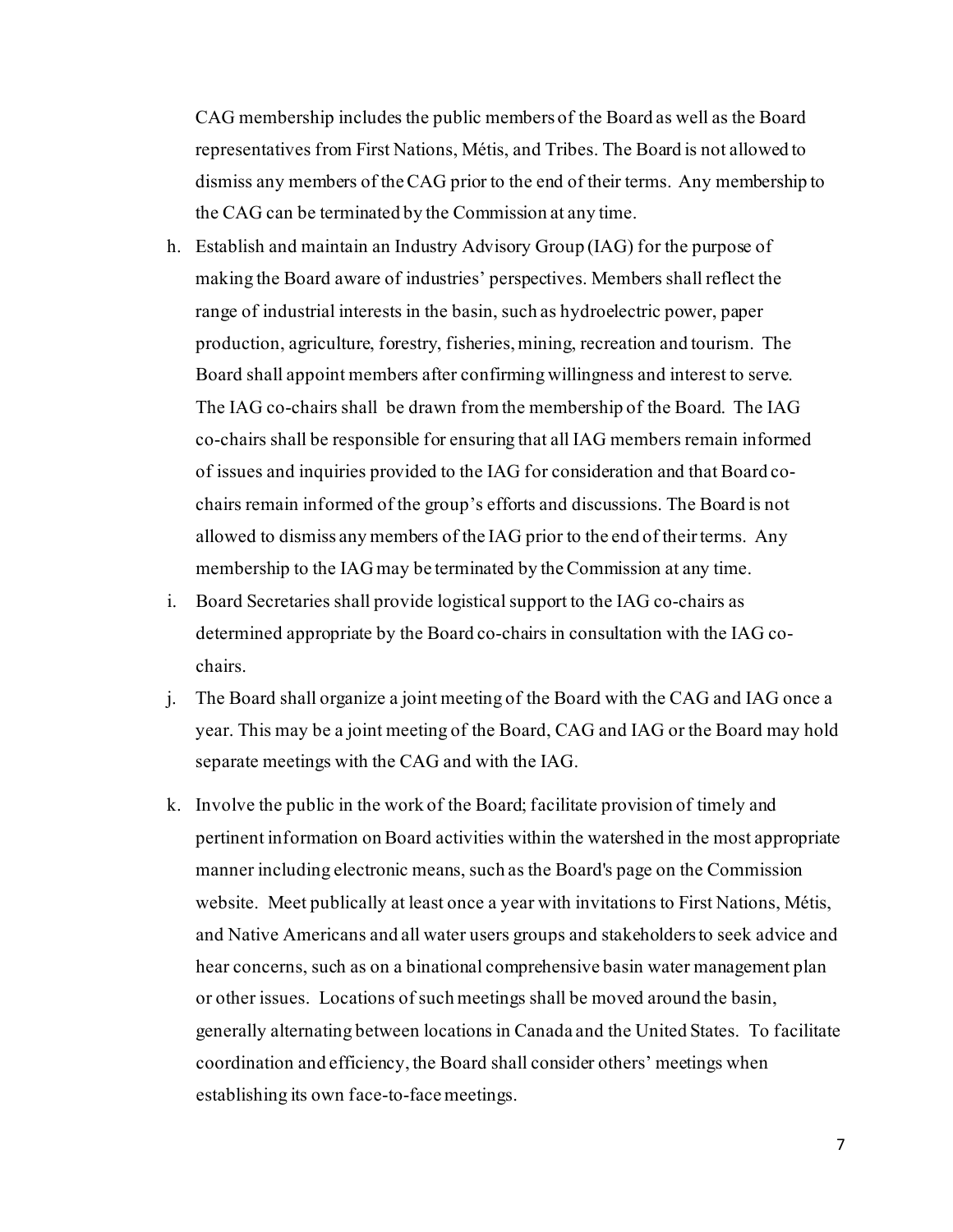CAG membership includes the public members of the Board as well as the Board representatives from First Nations, Métis, and Tribes. The Board is not allowed to dismiss any members of the CAG prior to the end of their terms. Any membership to the CAG can be terminated by the Commission at any time.

- h. Establish and maintain an Industry Advisory Group (IAG) for the purpose of making the Board aware of industries' perspectives. Members shall reflect the range of industrial interests in the basin, such as hydroelectric power, paper production, agriculture, forestry, fisheries,mining, recreation and tourism. The Board shall appoint members after confirming willingness and interest to serve. The IAG co-chairs shall be drawn from the membership of the Board. The IAG co-chairs shall be responsible for ensuring that all IAG members remain informed of issues and inquiries provided to the IAG for consideration and that Board cochairs remain informed of the group's efforts and discussions. The Board is not allowed to dismiss any members of the IAG prior to the end of their terms. Any membership to the IAG may be terminated by the Commission at any time.
- i. Board Secretaries shall provide logistical support to the IAG co-chairs as determined appropriate by the Board co-chairs in consultation with the IAG cochairs.
- j. The Board shall organize a joint meeting of the Board with the CAG and IAG once a year. This may be a joint meeting of the Board, CAG and IAG or the Board may hold separate meetings with the CAG and with the IAG.
- k. Involve the public in the work of the Board; facilitate provision of timely and pertinent information on Board activities within the watershed in the most appropriate manner including electronic means, such as the Board's page on the Commission website. Meet publically at least once a year with invitations to First Nations, Métis, and Native Americans and all water users groups and stakeholders to seek advice and hear concerns, such as on a binational comprehensive basin water management plan or other issues. Locations of such meetings shall be moved around the basin, generally alternating between locations in Canada and the United States. To facilitate coordination and efficiency, the Board shall consider others' meetings when establishing its own face-to-face meetings.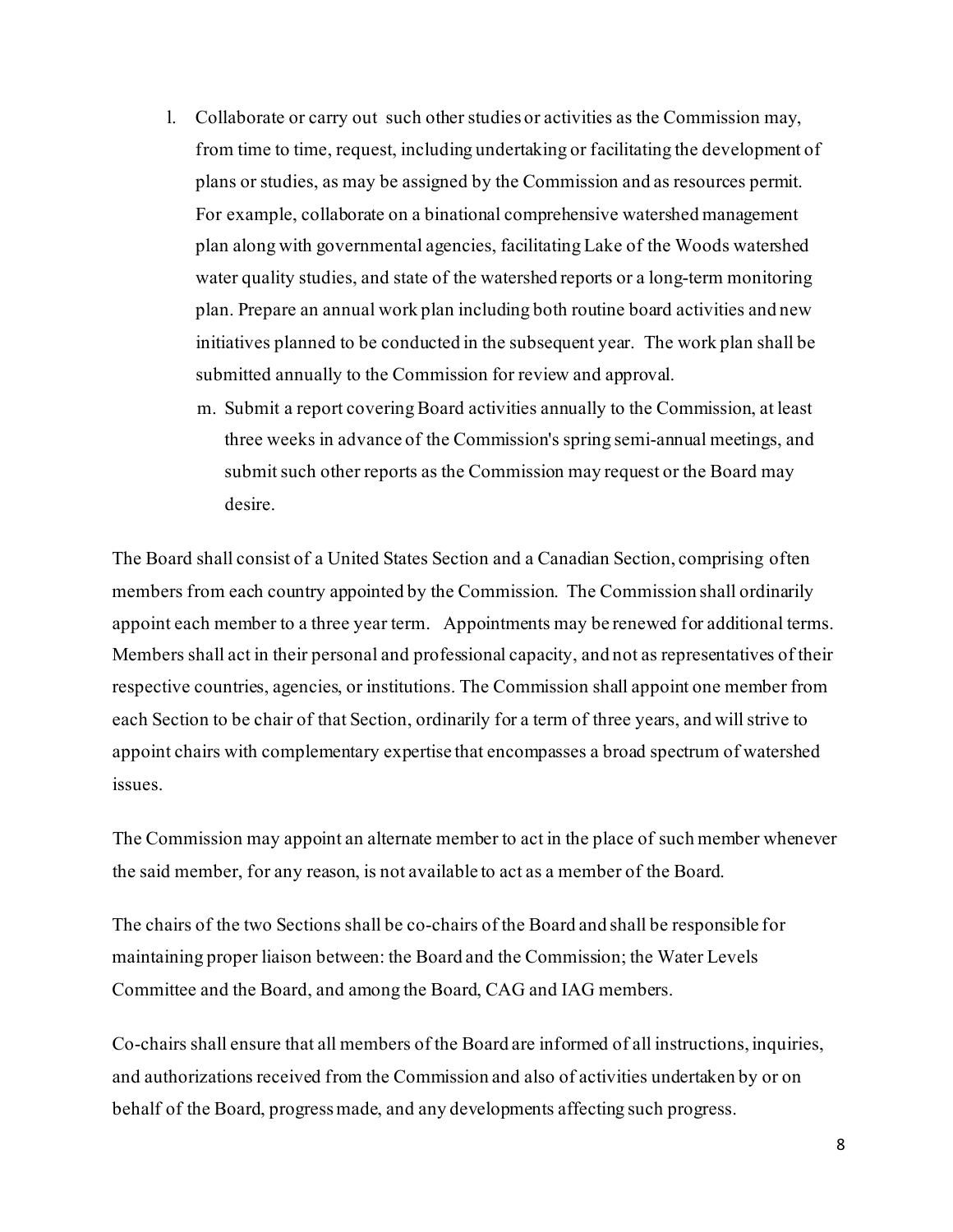- l. Collaborate or carry out such other studies or activities as the Commission may, from time to time, request, including undertaking or facilitating the development of plans or studies, as may be assigned by the Commission and as resources permit. For example, collaborate on a binational comprehensive watershed management plan along with governmental agencies, facilitating Lake of the Woods watershed water quality studies, and state of the watershed reports or a long-term monitoring plan. Prepare an annual work plan including both routine board activities and new initiatives planned to be conducted in the subsequent year. The work plan shall be submitted annually to the Commission for review and approval.
	- m. Submit a report covering Board activities annually to the Commission, at least three weeks in advance of the Commission's spring semi-annual meetings, and submit such other reports as the Commission may request or the Board may desire.

The Board shall consist of a United States Section and a Canadian Section, comprising often members from each country appointed by the Commission. The Commission shall ordinarily appoint each member to a three year term. Appointments may be renewed for additional terms. Members shall act in their personal and professional capacity, and not as representatives of their respective countries, agencies, or institutions. The Commission shall appoint one member from each Section to be chair of that Section, ordinarily for a term of three years, and will strive to appoint chairs with complementary expertise that encompasses a broad spectrum of watershed issues.

The Commission may appoint an alternate member to act in the place of such member whenever the said member, for any reason, is not available to act as a member of the Board.

The chairs of the two Sections shall be co-chairs of the Board and shall be responsible for maintaining proper liaison between: the Board and the Commission; the Water Levels Committee and the Board, and among the Board, CAG and IAG members.

Co-chairs shall ensure that all members of the Board are informed of all instructions, inquiries, and authorizations received from the Commission and also of activities undertaken by or on behalf of the Board, progressmade, and any developments affecting such progress.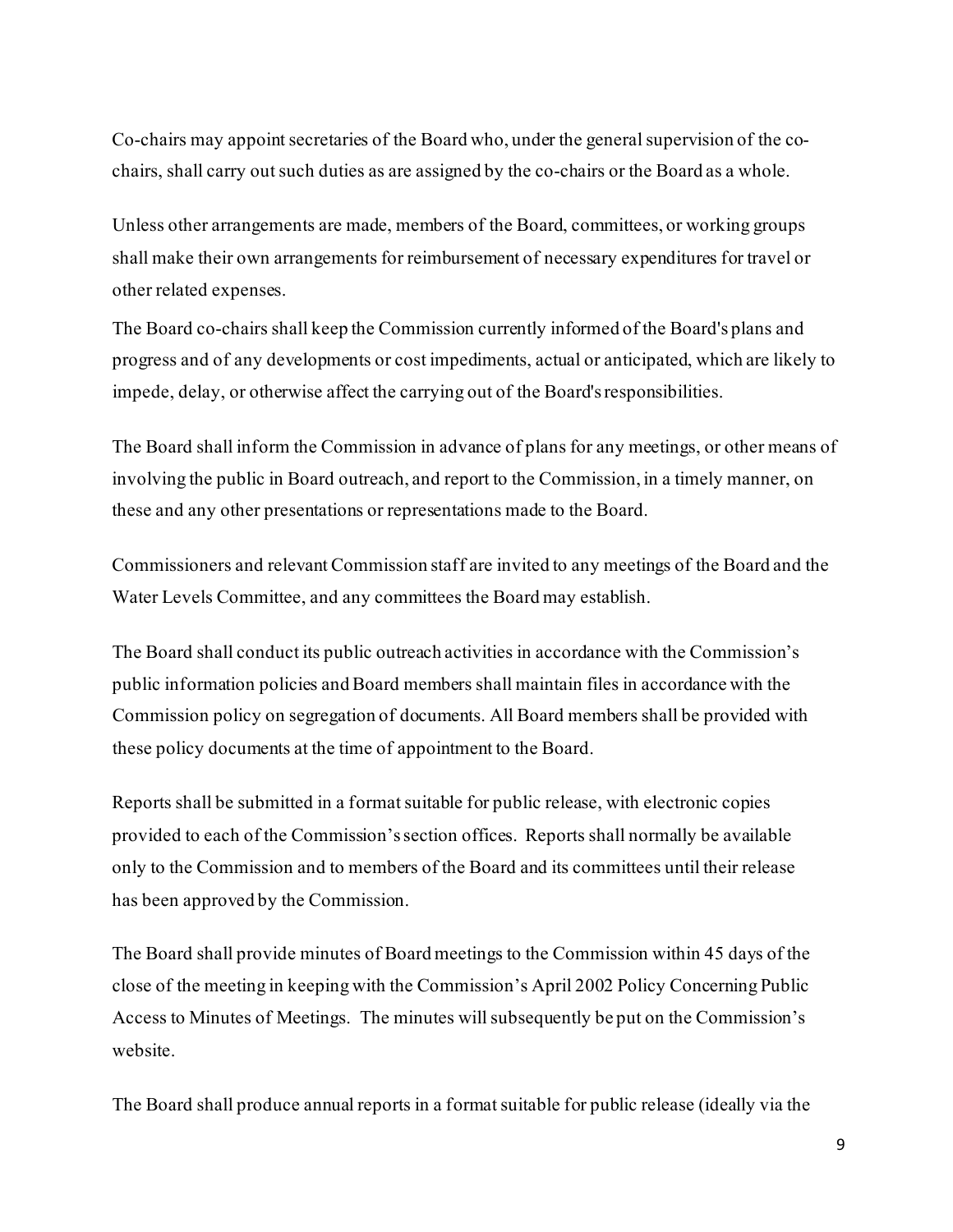Co-chairs may appoint secretaries of the Board who, under the general supervision of the cochairs, shall carry out such duties as are assigned by the co-chairs or the Board as a whole.

Unless other arrangements are made, members of the Board, committees, or working groups shall make their own arrangements for reimbursement of necessary expenditures for travel or other related expenses.

The Board co-chairs shall keep the Commission currently informed of the Board's plans and progress and of any developments or cost impediments, actual or anticipated, which are likely to impede, delay, or otherwise affect the carrying out of the Board'sresponsibilities.

The Board shall inform the Commission in advance of plans for any meetings, or other means of involving the public in Board outreach, and report to the Commission, in a timely manner, on these and any other presentations or representations made to the Board.

Commissioners and relevant Commission staff are invited to any meetings of the Board and the Water Levels Committee, and any committees the Board may establish.

The Board shall conduct its public outreach activities in accordance with the Commission's public information policies and Board members shall maintain files in accordance with the Commission policy on segregation of documents. All Board members shall be provided with these policy documents at the time of appointment to the Board.

Reports shall be submitted in a format suitable for public release, with electronic copies provided to each of the Commission's section offices. Reports shall normally be available only to the Commission and to members of the Board and its committees until their release has been approved by the Commission.

The Board shall provide minutes of Board meetings to the Commission within 45 days of the close of the meeting in keeping with the Commission's April 2002 Policy Concerning Public Access to Minutes of Meetings. The minutes will subsequently be put on the Commission's website.

The Board shall produce annual reports in a format suitable for public release (ideally via the